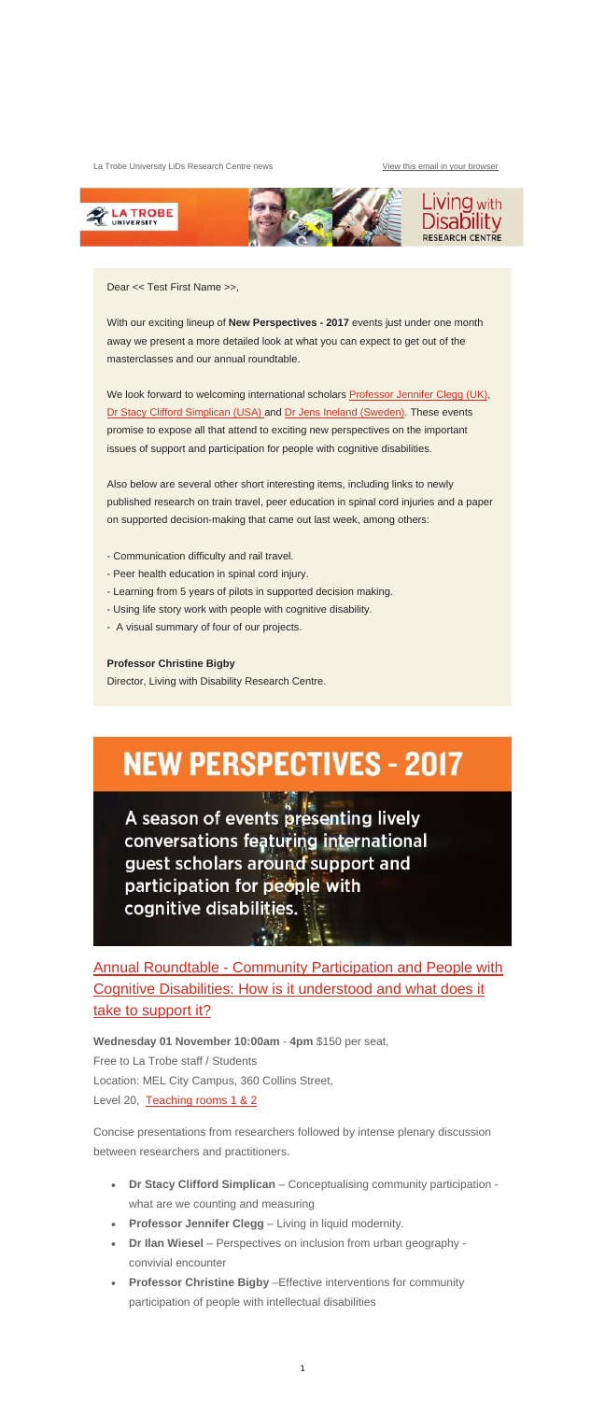La Trobe University LiDs Research Centre news View this email in your browser



Dear << Test First Name >>,

With our exciting lineup of **New Perspectives - 2017** events just under one month away we present a more detailed look at what you can expect to get out of the masterclasses and our annual roundtable.

We look forward to welcoming international scholars Professor Jennifer Clegg (UK), Dr Stacy Clifford Simplican (USA) and Dr Jens Ineland (Sweden). These events promise to expose all that attend to exciting new perspectives on the important issues of support and participation for people with cognitive disabilities.

Annual Roundtable - Community Participation and People with Cognitive Disabilities: How is it understood and what does it take to support it?

Also below are several other short interesting items, including links to newly published research on train travel, peer education in spinal cord injuries and a paper on supported decision-making that came out last week, among others:

- Communication difficulty and rail travel.
- Peer health education in spinal cord injury.
- Learning from 5 years of pilots in supported decision making.
- Using life story work with people with cognitive disability.
- A visual summary of four of our projects.

#### **Professor Christine Bigby**

Director, Living with Disability Research Centre.

# **NEW PERSPECTIVES - 2017**

A season of events presenting lively conversations featuring international guest scholars around support and participation for people with



**Wednesday 01 November 10:00am** - **4pm** \$150 per seat, Free to La Trobe staff / Students Location: MEL City Campus, 360 Collins Street, Level 20, Teaching rooms 1 & 2

Concise presentations from researchers followed by intense plenary discussion between researchers and practitioners.

- **Dr Stacy Clifford Simplican** Conceptualising community participation what are we counting and measuring
- **Professor Jennifer Clegg** Living in liquid modernity*.*
- Dr Ilan Wiesel Perspectives on inclusion from urban geography convivial encounter
- **Professor Christine Bigby** –Effective interventions for community participation of people with intellectual disabilities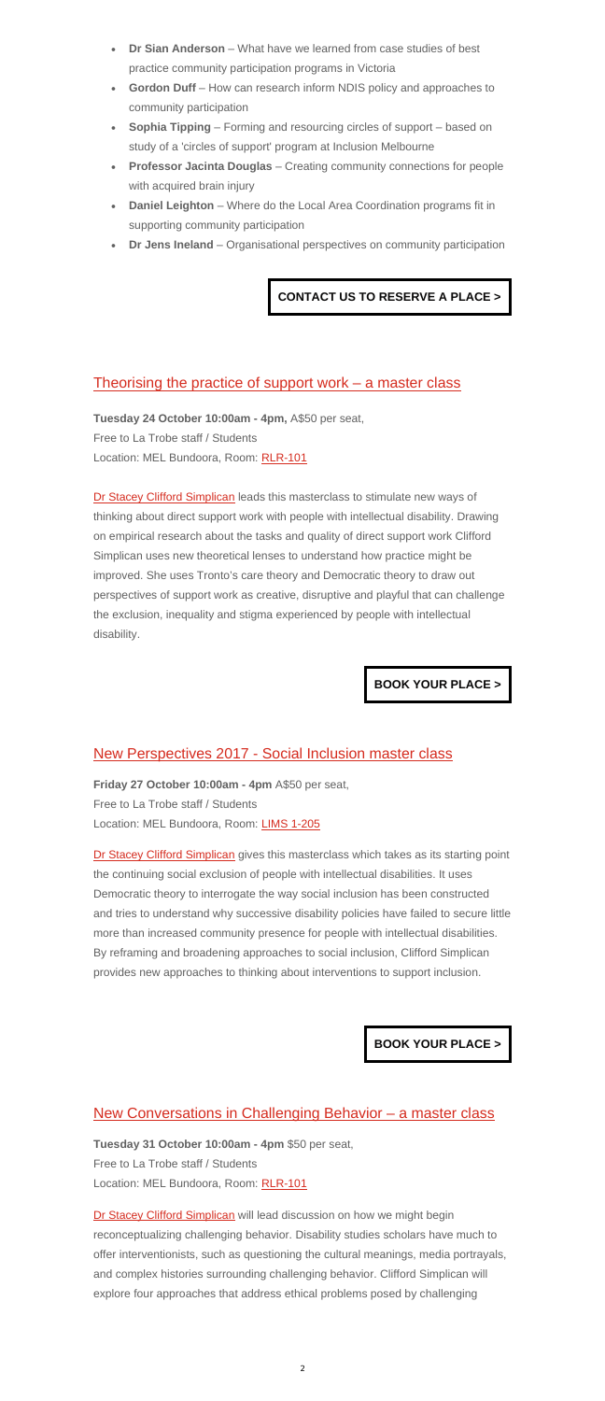- **Dr Sian Anderson** What have we learned from case studies of best practice community participation programs in Victoria
- **Gordon Duff**  How can research inform NDIS policy and approaches to community participation
- **Sophia Tipping** Forming and resourcing circles of support based on study of a 'circles of support' program at Inclusion Melbourne
- **Professor Jacinta Douglas**  Creating community connections for people with acquired brain injury
- **Daniel Leighton** Where do the Local Area Coordination programs fit in supporting community participation
- **Dr Jens Ineland** Organisational perspectives on community participation

## **CONTACT US TO RESERVE A PLACE >**

## Theorising the practice of support work  $-$  a master class

**Tuesday 24 October 10:00am - 4pm,** A\$50 per seat, Free to La Trobe staff / Students Location: MEL Bundoora, Room: RLR-101

Dr Stacey Clifford Simplican leads this masterclass to stimulate new ways of thinking about direct support work with people with intellectual disability. Drawing on empirical research about the tasks and quality of direct support work Clifford Simplican uses new theoretical lenses to understand how practice might be improved. She uses Tronto's care theory and Democratic theory to draw out perspectives of support work as creative, disruptive and playful that can challenge the exclusion, inequality and stigma experienced by people with intellectual disability.

## **BOOK YOUR PLACE >**

## New Perspectives 2017 - Social Inclusion master class

**Friday 27 October 10:00am - 4pm** A\$50 per seat, Free to La Trobe staff / Students Location: MEL Bundoora, Room: LIMS 1-205

Dr Stacey Clifford Simplican gives this masterclass which takes as its starting point the continuing social exclusion of people with intellectual disabilities. It uses

Democratic theory to interrogate the way social inclusion has been constructed and tries to understand why successive disability policies have failed to secure little more than increased community presence for people with intellectual disabilities. By reframing and broadening approaches to social inclusion, Clifford Simplican provides new approaches to thinking about interventions to support inclusion.

## **BOOK YOUR PLACE >**

## New Conversations in Challenging Behavior – a master class

**Tuesday 31 October 10:00am - 4pm** \$50 per seat, Free to La Trobe staff / Students Location: MEL Bundoora, Room: RLR-101

Dr Stacey Clifford Simplican will lead discussion on how we might begin reconceptualizing challenging behavior. Disability studies scholars have much to offer interventionists, such as questioning the cultural meanings, media portrayals, and complex histories surrounding challenging behavior. Clifford Simplican will explore four approaches that address ethical problems posed by challenging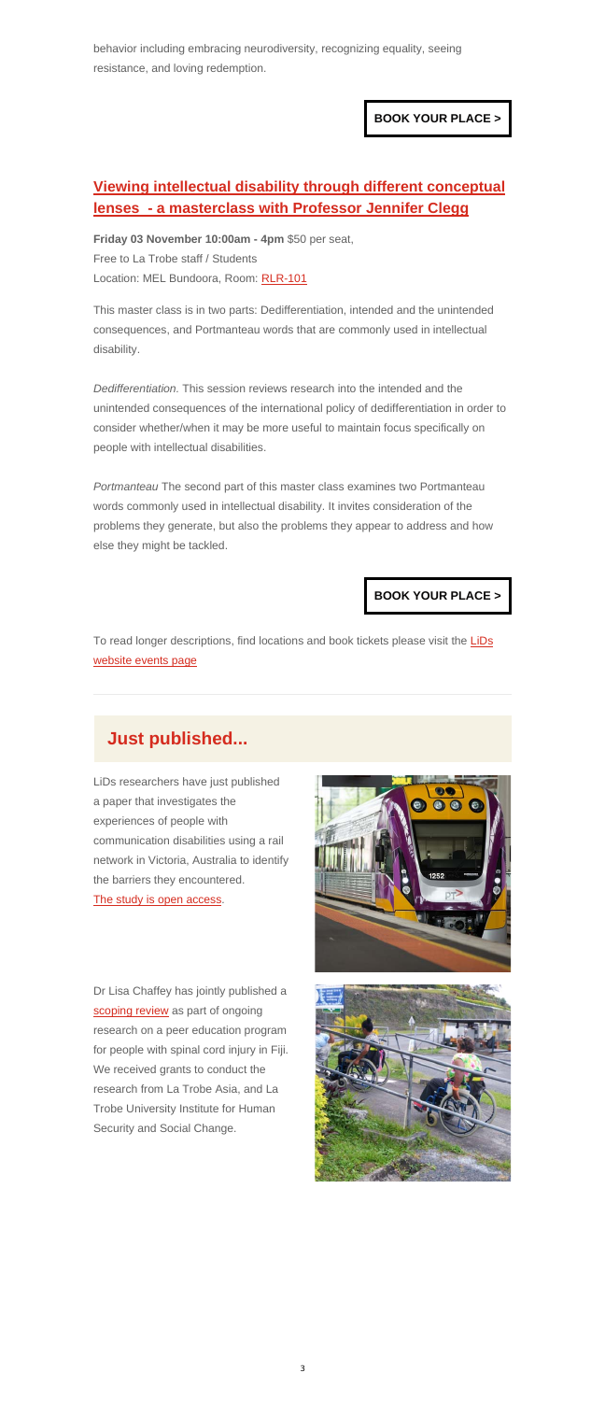behavior including embracing neurodiversity, recognizing equality, seeing resistance, and loving redemption.

**BOOK YOUR PLACE >**

# **Viewing intellectual disability through different conceptual lenses - a masterclass with Professor Jennifer Clegg**

**Friday 03 November 10:00am - 4pm** \$50 per seat, Free to La Trobe staff / Students Location: MEL Bundoora, Room: RLR-101

This master class is in two parts: Dedifferentiation, intended and the unintended consequences, and Portmanteau words that are commonly used in intellectual disability.

To read longer descriptions, find locations and book tickets please visit the LiDs website events page

*Dedifferentiation.* This session reviews research into the intended and the unintended consequences of the international policy of dedifferentiation in order to consider whether/when it may be more useful to maintain focus specifically on people with intellectual disabilities.

*Portmanteau* The second part of this master class examines two Portmanteau words commonly used in intellectual disability. It invites consideration of the problems they generate, but also the problems they appear to address and how else they might be tackled.

## **BOOK YOUR PLACE >**

# **Just published...**

LiDs researchers have just published a paper that investigates the experiences of people with communication disabilities using a rail network in Victoria, Australia to identify the barriers they encountered.



#### The study is open access.

Dr Lisa Chaffey has jointly published a scoping review as part of ongoing research on a peer education program for people with spinal cord injury in Fiji. We received grants to conduct the research from La Trobe Asia, and La Trobe University Institute for Human Security and Social Change.

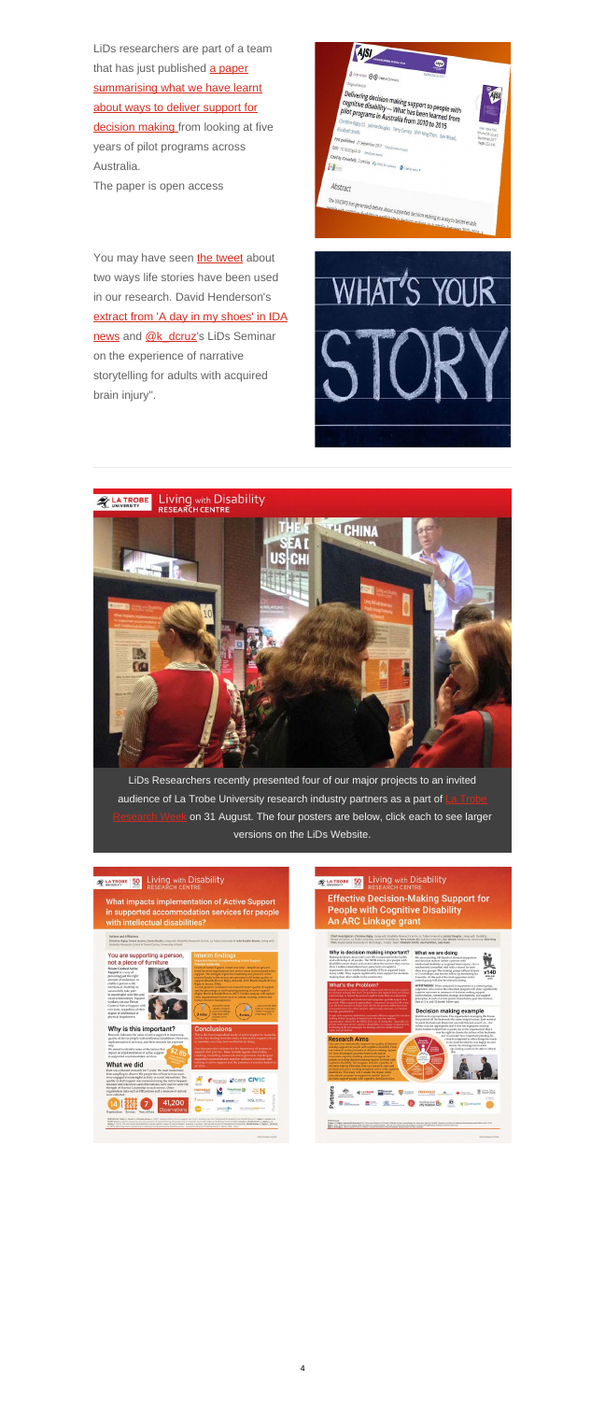LiDs researchers are part of a team that has just published a paper summarising what we have learnt about ways to deliver support for decision making from looking at five years of pilot programs across Australia.

The paper is open access



You may have seen the tweet about two ways life stories have been used in our research. David Henderson's extract from 'A day in my shoes' in IDA news and @k\_dcruz's LiDs Seminar on the experience of narrative storytelling for adults with acquired brain injury".





LiDs Researchers recently presented four of our major projects to an invited audience of La Trobe University research industry partners as a part of on 31 August. The four posters are below, click each to see larger versions on the LiDs Website.

![](_page_3_Picture_7.jpeg)

![](_page_3_Picture_9.jpeg)

**Effective Decision-Making Support for** 

**People with Cognitive Disability** 

An ARC Linkage grant

What impacts implementation of Active Support in supported accommodation services for people with intellectual disabilities?

![](_page_3_Picture_12.jpeg)